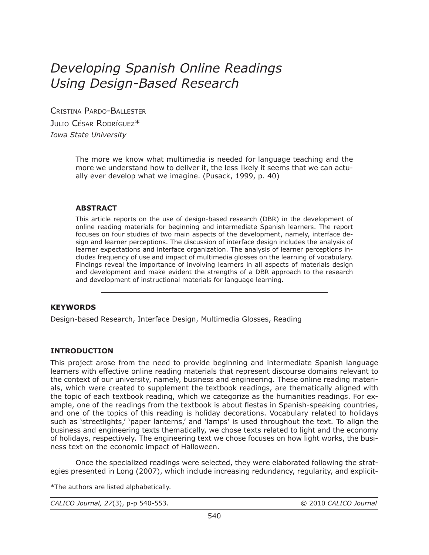# *Developing Spanish Online Readings Using Design-Based Research*

CRISTINA PARDO-BALLESTER JULIO CÉSAR RODRÍGUEZ<sup>\*</sup> *Iowa State University*

> The more we know what multimedia is needed for language teaching and the more we understand how to deliver it, the less likely it seems that we can actually ever develop what we imagine. (Pusack, 1999, p. 40)

## **ABSTRACT**

This article reports on the use of design-based research (DBR) in the development of online reading materials for beginning and intermediate Spanish learners. The report focuses on four studies of two main aspects of the development, namely, interface design and learner perceptions. The discussion of interface design includes the analysis of learner expectations and interface organization. The analysis of learner perceptions includes frequency of use and impact of multimedia glosses on the learning of vocabulary. Findings reveal the importance of involving learners in all aspects of materials design and development and make evident the strengths of a DBR approach to the research and development of instructional materials for language learning.

#### **KEYWORDS**

Design-based Research, Interface Design, Multimedia Glosses, Reading

# **INTRODUCTION**

This project arose from the need to provide beginning and intermediate Spanish language learners with effective online reading materials that represent discourse domains relevant to the context of our university, namely, business and engineering. These online reading materials, which were created to supplement the textbook readings, are thematically aligned with the topic of each textbook reading, which we categorize as the humanities readings. For example, one of the readings from the textbook is about fiestas in Spanish-speaking countries, and one of the topics of this reading is holiday decorations. Vocabulary related to holidays such as 'streetlights,' 'paper lanterns,' and 'lamps' is used throughout the text. To align the business and engineering texts thematically, we chose texts related to light and the economy of holidays, respectively. The engineering text we chose focuses on how light works, the business text on the economic impact of Halloween.

 Once the specialized readings were selected, they were elaborated following the strategies presented in Long (2007), which include increasing redundancy, regularity, and explicit-

\*The authors are listed alphabetically.

*CALICO Journal, 27*(3), p-p 540-553. © 2010 *CALICO Journal*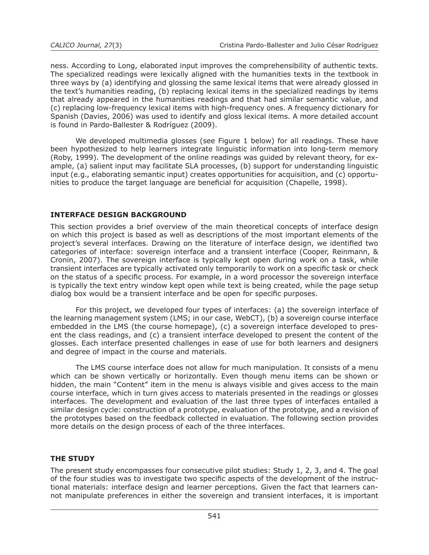ness. According to Long, elaborated input improves the comprehensibility of authentic texts. The specialized readings were lexically aligned with the humanities texts in the textbook in three ways by (a) identifying and glossing the same lexical items that were already glossed in the text's humanities reading, (b) replacing lexical items in the specialized readings by items that already appeared in the humanities readings and that had similar semantic value, and (c) replacing low-frequency lexical items with high-frequency ones. A frequency dictionary for Spanish (Davies, 2006) was used to identify and gloss lexical items. A more detailed account is found in Pardo-Ballester & Rodríguez (2009).

 We developed multimedia glosses (see Figure 1 below) for all readings. These have been hypothesized to help learners integrate linguistic information into long-term memory (Roby, 1999). The development of the online readings was guided by relevant theory, for example, (a) salient input may facilitate SLA processes, (b) support for understanding linguistic input (e.g., elaborating semantic input) creates opportunities for acquisition, and (c) opportunities to produce the target language are beneficial for acquisition (Chapelle, 1998).

# **INTERFACE DESIGN BACKGROUND**

This section provides a brief overview of the main theoretical concepts of interface design on which this project is based as well as descriptions of the most important elements of the project's several interfaces. Drawing on the literature of interface design, we identified two categories of interface: sovereign interface and a transient interface (Cooper, Reinmann, & Cronin, 2007). The sovereign interface is typically kept open during work on a task, while transient interfaces are typically activated only temporarily to work on a specific task or check on the status of a specific process. For example, in a word processor the sovereign interface is typically the text entry window kept open while text is being created, while the page setup dialog box would be a transient interface and be open for specific purposes.

 For this project, we developed four types of interfaces: (a) the sovereign interface of the learning management system (LMS; in our case, WebCT), (b) a sovereign course interface embedded in the LMS (the course homepage), (c) a sovereign interface developed to present the class readings, and (c) a transient interface developed to present the content of the glosses. Each interface presented challenges in ease of use for both learners and designers and degree of impact in the course and materials.

 The LMS course interface does not allow for much manipulation. It consists of a menu which can be shown vertically or horizontally. Even though menu items can be shown or hidden, the main "Content" item in the menu is always visible and gives access to the main course interface, which in turn gives access to materials presented in the readings or glosses interfaces. The development and evaluation of the last three types of interfaces entailed a similar design cycle: construction of a prototype, evaluation of the prototype, and a revision of the prototypes based on the feedback collected in evaluation. The following section provides more details on the design process of each of the three interfaces.

# **THE STUDY**

The present study encompasses four consecutive pilot studies: Study 1, 2, 3, and 4. The goal of the four studies was to investigate two specific aspects of the development of the instructional materials: interface design and learner perceptions. Given the fact that learners cannot manipulate preferences in either the sovereign and transient interfaces, it is important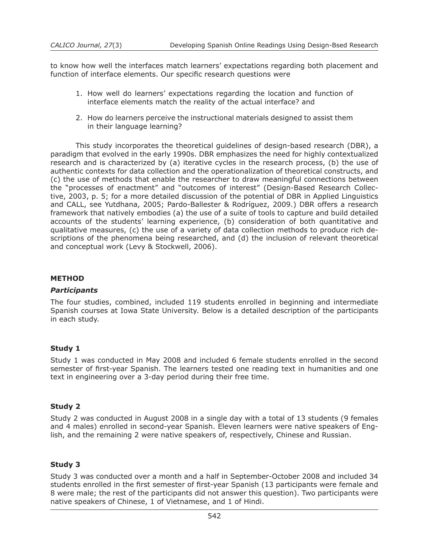to know how well the interfaces match learners' expectations regarding both placement and function of interface elements. Our specific research questions were

- 1. How well do learners' expectations regarding the location and function of interface elements match the reality of the actual interface? and
- 2. How do learners perceive the instructional materials designed to assist them in their language learning?

 This study incorporates the theoretical guidelines of design-based research (DBR), a paradigm that evolved in the early 1990s. DBR emphasizes the need for highly contextualized research and is characterized by (a) iterative cycles in the research process, (b) the use of authentic contexts for data collection and the operationalization of theoretical constructs, and (c) the use of methods that enable the researcher to draw meaningful connections between the "processes of enactment" and "outcomes of interest" (Design-Based Research Collective, 2003, p. 5; for a more detailed discussion of the potential of DBR in Applied Linguistics and CALL, see Yutdhana, 2005; Pardo-Ballester & Rodríguez, 2009.) DBR offers a research framework that natively embodies (a) the use of a suite of tools to capture and build detailed accounts of the students' learning experience, (b) consideration of both quantitative and qualitative measures, (c) the use of a variety of data collection methods to produce rich descriptions of the phenomena being researched, and (d) the inclusion of relevant theoretical and conceptual work (Levy & Stockwell, 2006).

#### **METHOD**

#### *Participants*

The four studies, combined, included 119 students enrolled in beginning and intermediate Spanish courses at Iowa State University. Below is a detailed description of the participants in each study.

#### **Study 1**

Study 1 was conducted in May 2008 and included 6 female students enrolled in the second semester of first-year Spanish. The learners tested one reading text in humanities and one text in engineering over a 3-day period during their free time.

# **Study 2**

Study 2 was conducted in August 2008 in a single day with a total of 13 students (9 females and 4 males) enrolled in second-year Spanish. Eleven learners were native speakers of English, and the remaining 2 were native speakers of, respectively, Chinese and Russian.

# **Study 3**

Study 3 was conducted over a month and a half in September-October 2008 and included 34 students enrolled in the first semester of first-year Spanish (13 participants were female and 8 were male; the rest of the participants did not answer this question). Two participants were native speakers of Chinese, 1 of Vietnamese, and 1 of Hindi.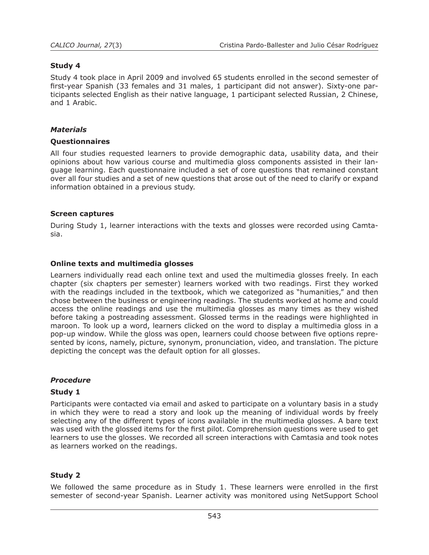## **Study 4**

Study 4 took place in April 2009 and involved 65 students enrolled in the second semester of first-year Spanish (33 females and 31 males, 1 participant did not answer). Sixty-one participants selected English as their native language, 1 participant selected Russian, 2 Chinese, and 1 Arabic.

#### *Materials*

#### **Questionnaires**

All four studies requested learners to provide demographic data, usability data, and their opinions about how various course and multimedia gloss components assisted in their language learning. Each questionnaire included a set of core questions that remained constant over all four studies and a set of new questions that arose out of the need to clarify or expand information obtained in a previous study.

#### **Screen captures**

During Study 1, learner interactions with the texts and glosses were recorded using Camtasia.

#### **Online texts and multimedia glosses**

Learners individually read each online text and used the multimedia glosses freely. In each chapter (six chapters per semester) learners worked with two readings. First they worked with the readings included in the textbook, which we categorized as "humanities," and then chose between the business or engineering readings. The students worked at home and could access the online readings and use the multimedia glosses as many times as they wished before taking a postreading assessment. Glossed terms in the readings were highlighted in maroon. To look up a word, learners clicked on the word to display a multimedia gloss in a pop-up window. While the gloss was open, learners could choose between five options represented by icons, namely, picture, synonym, pronunciation, video, and translation. The picture depicting the concept was the default option for all glosses.

#### *Procedure*

#### **Study 1**

Participants were contacted via email and asked to participate on a voluntary basis in a study in which they were to read a story and look up the meaning of individual words by freely selecting any of the different types of icons available in the multimedia glosses. A bare text was used with the glossed items for the first pilot. Comprehension questions were used to get learners to use the glosses. We recorded all screen interactions with Camtasia and took notes as learners worked on the readings.

# **Study 2**

We followed the same procedure as in Study 1. These learners were enrolled in the first semester of second-year Spanish. Learner activity was monitored using NetSupport School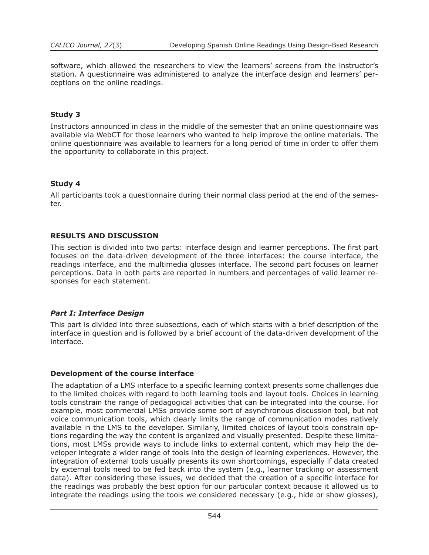software, which allowed the researchers to view the learners' screens from the instructor's station. A questionnaire was administered to analyze the interface design and learners' perceptions on the online readings.

## **Study 3**

Instructors announced in class in the middle of the semester that an online questionnaire was available via WebCT for those learners who wanted to help improve the online materials. The online questionnaire was available to learners for a long period of time in order to offer them the opportunity to collaborate in this project.

## **Study 4**

All participants took a questionnaire during their normal class period at the end of the semester.

## **RESULTS AND DISCUSSION**

This section is divided into two parts: interface design and learner perceptions. The first part focuses on the data-driven development of the three interfaces: the course interface, the readings interface, and the multimedia glosses interface. The second part focuses on learner perceptions. Data in both parts are reported in numbers and percentages of valid learner responses for each statement.

#### *Part I: Interface Design*

This part is divided into three subsections, each of which starts with a brief description of the interface in question and is followed by a brief account of the data-driven development of the interface.

#### **Development of the course interface**

The adaptation of a LMS interface to a specific learning context presents some challenges due to the limited choices with regard to both learning tools and layout tools. Choices in learning tools constrain the range of pedagogical activities that can be integrated into the course. For example, most commercial LMSs provide some sort of asynchronous discussion tool, but not voice communication tools, which clearly limits the range of communication modes natively available in the LMS to the developer. Similarly, limited choices of layout tools constrain options regarding the way the content is organized and visually presented. Despite these limitations, most LMSs provide ways to include links to external content, which may help the developer integrate a wider range of tools into the design of learning experiences. However, the integration of external tools usually presents its own shortcomings, especially if data created by external tools need to be fed back into the system (e.g., learner tracking or assessment data). After considering these issues, we decided that the creation of a specific interface for the readings was probably the best option for our particular context because it allowed us to integrate the readings using the tools we considered necessary (e.g., hide or show glosses),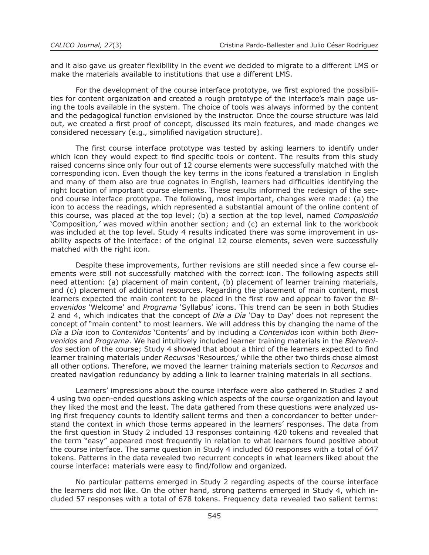and it also gave us greater flexibility in the event we decided to migrate to a different LMS or make the materials available to institutions that use a different LMS.

 For the development of the course interface prototype, we first explored the possibilities for content organization and created a rough prototype of the interface's main page using the tools available in the system. The choice of tools was always informed by the content and the pedagogical function envisioned by the instructor. Once the course structure was laid out, we created a first proof of concept, discussed its main features, and made changes we considered necessary (e.g., simplified navigation structure).

 The first course interface prototype was tested by asking learners to identify under which icon they would expect to find specific tools or content. The results from this study raised concerns since only four out of 12 course elements were successfully matched with the corresponding icon. Even though the key terms in the icons featured a translation in English and many of them also are true cognates in English, learners had difficulties identifying the right location of important course elements. These results informed the redesign of the second course interface prototype. The following, most important, changes were made: (a) the icon to access the readings, which represented a substantial amount of the online content of this course, was placed at the top level; (b) a section at the top level, named *Composición* 'Composition*,'* was moved within another section; and (c) an external link to the workbook was included at the top level. Study 4 results indicated there was some improvement in usability aspects of the interface: of the original 12 course elements, seven were successfully matched with the right icon.

 Despite these improvements, further revisions are still needed since a few course elements were still not successfully matched with the correct icon. The following aspects still need attention: (a) placement of main content, (b) placement of learner training materials, and (c) placement of additional resources. Regarding the placement of main content, most learners expected the main content to be placed in the first row and appear to favor the *Bienvenidos* 'Welcome' and *Programa* 'Syllabus' icons. This trend can be seen in both Studies 2 and 4, which indicates that the concept of *Día a Día* 'Day to Day' does not represent the concept of "main content" to most learners. We will address this by changing the name of the *Día a Día* icon to *Contenidos* 'Contents' and by including a *Contenidos* icon within both *Bienvenidos* and *Programa*. We had intuitively included learner training materials in the *Bienvenidos* section of the course; Study 4 showed that about a third of the learners expected to find learner training materials under *Recursos* 'Resources,' while the other two thirds chose almost all other options. Therefore, we moved the learner training materials section to *Recursos* and created navigation redundancy by adding a link to learner training materials in all sections.

 Learners' impressions about the course interface were also gathered in Studies 2 and 4 using two open-ended questions asking which aspects of the course organization and layout they liked the most and the least. The data gathered from these questions were analyzed using first frequency counts to identify salient terms and then a concordancer to better understand the context in which those terms appeared in the learners' responses. The data from the first question in Study 2 included 13 responses containing 420 tokens and revealed that the term "easy" appeared most frequently in relation to what learners found positive about the course interface. The same question in Study 4 included 60 responses with a total of 647 tokens. Patterns in the data revealed two recurrent concepts in what learners liked about the course interface: materials were easy to find/follow and organized.

 No particular patterns emerged in Study 2 regarding aspects of the course interface the learners did not like. On the other hand, strong patterns emerged in Study 4, which included 57 responses with a total of 678 tokens. Frequency data revealed two salient terms: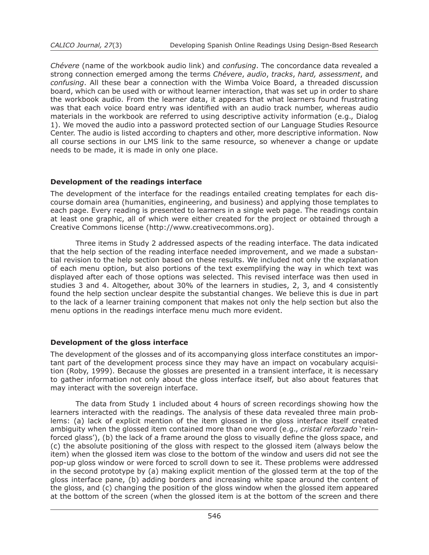*Chévere* (name of the workbook audio link) and *confusing*. The concordance data revealed a strong connection emerged among the terms *Chévere*, *audio*, *tracks*, *hard, assessment*, and *confusing*. All these bear a connection with the Wimba Voice Board, a threaded discussion board, which can be used with or without learner interaction, that was set up in order to share the workbook audio. From the learner data, it appears that what learners found frustrating was that each voice board entry was identified with an audio track number, whereas audio materials in the workbook are referred to using descriptive activity information (e.g., Dialog 1). We moved the audio into a password protected section of our Language Studies Resource Center. The audio is listed according to chapters and other, more descriptive information. Now all course sections in our LMS link to the same resource, so whenever a change or update needs to be made, it is made in only one place.

## **Development of the readings interface**

The development of the interface for the readings entailed creating templates for each discourse domain area (humanities, engineering, and business) and applying those templates to each page. Every reading is presented to learners in a single web page. The readings contain at least one graphic, all of which were either created for the project or obtained through a Creative Commons license (http://www.creativecommons.org).

 Three items in Study 2 addressed aspects of the reading interface. The data indicated that the help section of the reading interface needed improvement, and we made a substantial revision to the help section based on these results. We included not only the explanation of each menu option, but also portions of the text exemplifying the way in which text was displayed after each of those options was selected. This revised interface was then used in studies 3 and 4. Altogether, about 30% of the learners in studies, 2, 3, and 4 consistently found the help section unclear despite the substantial changes. We believe this is due in part to the lack of a learner training component that makes not only the help section but also the menu options in the readings interface menu much more evident.

# **Development of the gloss interface**

The development of the glosses and of its accompanying gloss interface constitutes an important part of the development process since they may have an impact on vocabulary acquisition (Roby, 1999). Because the glosses are presented in a transient interface, it is necessary to gather information not only about the gloss interface itself, but also about features that may interact with the sovereign interface.

 The data from Study 1 included about 4 hours of screen recordings showing how the learners interacted with the readings. The analysis of these data revealed three main problems: (a) lack of explicit mention of the item glossed in the gloss interface itself created ambiguity when the glossed item contained more than one word (e.g., *cristal reforzado* 'reinforced glass'), (b) the lack of a frame around the gloss to visually define the gloss space, and (c) the absolute positioning of the gloss with respect to the glossed item (always below the item) when the glossed item was close to the bottom of the window and users did not see the pop-up gloss window or were forced to scroll down to see it. These problems were addressed in the second prototype by (a) making explicit mention of the glossed term at the top of the gloss interface pane, (b) adding borders and increasing white space around the content of the gloss, and (c) changing the position of the gloss window when the glossed item appeared at the bottom of the screen (when the glossed item is at the bottom of the screen and there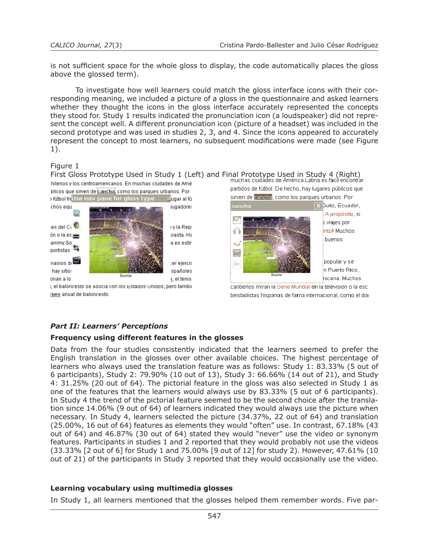is not sufficient space for the whole gloss to display, the code automatically places the gloss above the glossed term).

 To investigate how well learners could match the gloss interface icons with their corresponding meaning, we included a picture of a gloss in the questionnaire and asked learners whether they thought the icons in the gloss interface accurately represented the concepts they stood for. Study 1 results indicated the pronunciation icon (a loudspeaker) did not represent the concept well. A different pronunciation icon (picture of a headset) was included in the second prototype and was used in studies 2, 3, and 4. Since the icons appeared to accurately represent the concept to most learners, no subsequent modifications were made (see Figure 1).

# Figure 1

First Gloss Prototype Used in Study 1 (Left) and Final Prototype Used in Study 4 (Right)<br>In muchas ciudades de América Latina es fácil encontrar :hilenos y los centroamericanos. En muchas ciudades de Amé





i; el baloncesto se asocia con los Estados Unidos, pero tambíc rneo anual de baloncesto.

partidos de fútbol. De hecho, hay lugares públicos que sirven de <mark>cancha</mark>, como los parques urbanos. Por



caribeños miran la Serie Mundial en la televisión o la esc beisbolistas hispanos de fama internacional, como el dor

# *Part II: Learners' Perceptions*

# **Frequency using different features in the glosses**

Data from the four studies consistently indicated that the learners seemed to prefer the English translation in the glosses over other available choices. The highest percentage of learners who always used the translation feature was as follows: Study 1: 83.33% (5 out of 6 participants), Study 2: 79.90% (10 out of 13), Study 3: 66.66% (14 out of 21), and Study 4: 31.25% (20 out of 64). The pictorial feature in the gloss was also selected in Study 1 as one of the features that the learners would always use by 83.33% (5 out of 6 participants). In Study 4 the trend of the pictorial feature seemed to be the second choice after the translation since 14.06% (9 out of 64) of learners indicated they would always use the picture when necessary. In Study 4, learners selected the picture (34.37%, 22 out of 64) and translation (25.00%, 16 out of 64) features as elements they would "often" use. In contrast, 67.18% (43 out of 64) and 46.87% (30 out of 64) stated they would "never" use the video or synonym features. Participants in studies 1 and 2 reported that they would probably not use the videos (33.33% [2 out of 6] for Study 1 and 75.00% [9 out of 12] for study 2). However, 47.61% (10 out of 21) of the participants in Study 3 reported that they would occasionally use the video.

# **Learning vocabulary using multimedia glosses**

In Study 1, all learners mentioned that the glosses helped them remember words. Five par-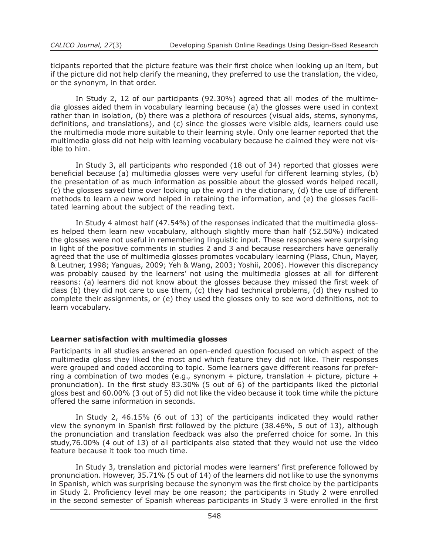ticipants reported that the picture feature was their first choice when looking up an item, but if the picture did not help clarify the meaning, they preferred to use the translation, the video, or the synonym, in that order.

 In Study 2, 12 of our participants (92.30%) agreed that all modes of the multimedia glosses aided them in vocabulary learning because (a) the glosses were used in context rather than in isolation, (b) there was a plethora of resources (visual aids, stems, synonyms, definitions, and translations), and (c) since the glosses were visible aids, learners could use the multimedia mode more suitable to their learning style. Only one learner reported that the multimedia gloss did not help with learning vocabulary because he claimed they were not visible to him.

 In Study 3, all participants who responded (18 out of 34) reported that glosses were beneficial because (a) multimedia glosses were very useful for different learning styles, (b) the presentation of as much information as possible about the glossed words helped recall, (c) the glosses saved time over looking up the word in the dictionary, (d) the use of different methods to learn a new word helped in retaining the information, and (e) the glosses facilitated learning about the subject of the reading text.

 In Study 4 almost half (47.54%) of the responses indicated that the multimedia glosses helped them learn new vocabulary, although slightly more than half (52.50%) indicated the glosses were not useful in remembering linguistic input. These responses were surprising in light of the positive comments in studies 2 and 3 and because researchers have generally agreed that the use of multimedia glosses promotes vocabulary learning (Plass, Chun, Mayer, & Leutner, 1998; Yanguas, 2009; Yeh & Wang, 2003; Yoshii, 2006). However this discrepancy was probably caused by the learners' not using the multimedia glosses at all for different reasons: (a) learners did not know about the glosses because they missed the first week of class (b) they did not care to use them, (c) they had technical problems, (d) they rushed to complete their assignments, or (e) they used the glosses only to see word definitions, not to learn vocabulary.

#### **Learner satisfaction with multimedia glosses**

Participants in all studies answered an open-ended question focused on which aspect of the multimedia gloss they liked the most and which feature they did not like. Their responses were grouped and coded according to topic. Some learners gave different reasons for preferring a combination of two modes (e.g., synonym + picture, translation + picture, picture + pronunciation). In the first study 83.30% (5 out of 6) of the participants liked the pictorial gloss best and 60.00% (3 out of 5) did not like the video because it took time while the picture offered the same information in seconds.

 In Study 2, 46.15% (6 out of 13) of the participants indicated they would rather view the synonym in Spanish first followed by the picture (38.46%, 5 out of 13), although the pronunciation and translation feedback was also the preferred choice for some. In this study,76.00% (4 out of 13) of all participants also stated that they would not use the video feature because it took too much time.

 In Study 3, translation and pictorial modes were learners' first preference followed by pronunciation. However, 35.71% (5 out of 14) of the learners did not like to use the synonyms in Spanish, which was surprising because the synonym was the first choice by the participants in Study 2. Proficiency level may be one reason; the participants in Study 2 were enrolled in the second semester of Spanish whereas participants in Study 3 were enrolled in the first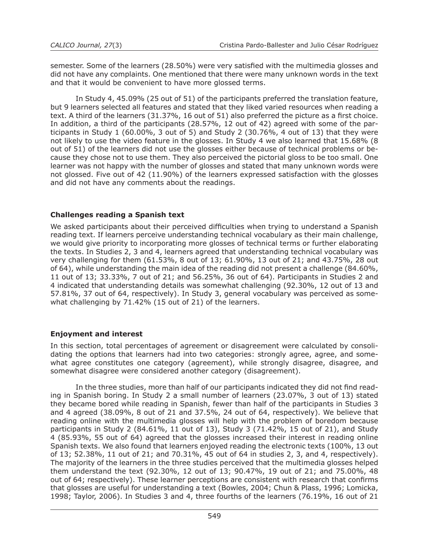semester. Some of the learners (28.50%) were very satisfied with the multimedia glosses and did not have any complaints. One mentioned that there were many unknown words in the text and that it would be convenient to have more glossed terms.

 In Study 4, 45.09% (25 out of 51) of the participants preferred the translation feature, but 9 learners selected all features and stated that they liked varied resources when reading a text. A third of the learners (31.37%, 16 out of 51) also preferred the picture as a first choice. In addition, a third of the participants (28.57%, 12 out of 42) agreed with some of the participants in Study 1 (60.00%, 3 out of 5) and Study 2 (30.76%, 4 out of 13) that they were not likely to use the video feature in the glosses. In Study 4 we also learned that 15.68% (8 out of 51) of the learners did not use the glosses either because of technical problems or because they chose not to use them. They also perceived the pictorial gloss to be too small. One learner was not happy with the number of glosses and stated that many unknown words were not glossed. Five out of 42 (11.90%) of the learners expressed satisfaction with the glosses and did not have any comments about the readings.

# **Challenges reading a Spanish text**

We asked participants about their perceived difficulties when trying to understand a Spanish reading text. If learners perceive understanding technical vocabulary as their main challenge, we would give priority to incorporating more glosses of technical terms or further elaborating the texts. In Studies 2, 3 and 4, learners agreed that understanding technical vocabulary was very challenging for them (61.53%, 8 out of 13; 61.90%, 13 out of 21; and 43.75%, 28 out of 64), while understanding the main idea of the reading did not present a challenge (84.60%, 11 out of 13; 33.33%, 7 out of 21; and 56.25%, 36 out of 64). Participants in Studies 2 and 4 indicated that understanding details was somewhat challenging (92.30%, 12 out of 13 and 57.81%, 37 out of 64, respectively). In Study 3, general vocabulary was perceived as somewhat challenging by 71.42% (15 out of 21) of the learners.

# **Enjoyment and interest**

In this section, total percentages of agreement or disagreement were calculated by consolidating the options that learners had into two categories: strongly agree, agree, and somewhat agree constitutes one category (agreement), while strongly disagree, disagree, and somewhat disagree were considered another category (disagreement).

 In the three studies, more than half of our participants indicated they did not find reading in Spanish boring. In Study 2 a small number of learners (23.07%, 3 out of 13) stated they became bored while reading in Spanish, fewer than half of the participants in Studies 3 and 4 agreed (38.09%, 8 out of 21 and 37.5%, 24 out of 64, respectively). We believe that reading online with the multimedia glosses will help with the problem of boredom because participants in Study 2 (84.61%, 11 out of 13), Study 3 (71.42%, 15 out of 21), and Study 4 (85.93%, 55 out of 64) agreed that the glosses increased their interest in reading online Spanish texts. We also found that learners enjoyed reading the electronic texts (100%, 13 out of 13; 52.38%, 11 out of 21; and 70.31%, 45 out of 64 in studies 2, 3, and 4, respectively). The majority of the learners in the three studies perceived that the multimedia glosses helped them understand the text (92.30%, 12 out of 13; 90.47%, 19 out of 21; and 75.00%, 48 out of 64; respectively). These learner perceptions are consistent with research that confirms that glosses are useful for understanding a text (Bowles, 2004; Chun & Plass, 1996; Lomicka, 1998; Taylor, 2006). In Studies 3 and 4, three fourths of the learners (76.19%, 16 out of 21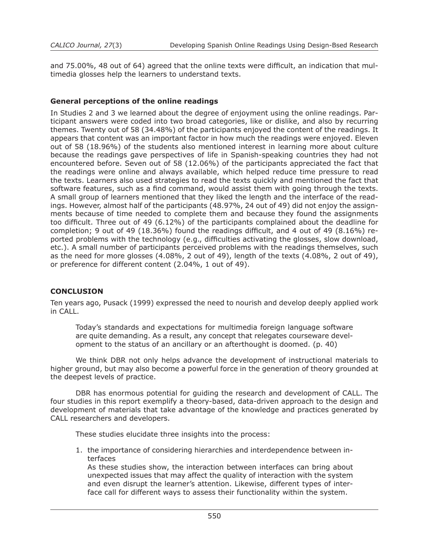and 75.00%, 48 out of 64) agreed that the online texts were difficult, an indication that multimedia glosses help the learners to understand texts.

## **General perceptions of the online readings**

In Studies 2 and 3 we learned about the degree of enjoyment using the online readings. Participant answers were coded into two broad categories, like or dislike, and also by recurring themes. Twenty out of 58 (34.48%) of the participants enjoyed the content of the readings. It appears that content was an important factor in how much the readings were enjoyed. Eleven out of 58 (18.96%) of the students also mentioned interest in learning more about culture because the readings gave perspectives of life in Spanish-speaking countries they had not encountered before. Seven out of 58 (12.06%) of the participants appreciated the fact that the readings were online and always available, which helped reduce time pressure to read the texts. Learners also used strategies to read the texts quickly and mentioned the fact that software features, such as a find command, would assist them with going through the texts. A small group of learners mentioned that they liked the length and the interface of the readings. However, almost half of the participants (48.97%, 24 out of 49) did not enjoy the assignments because of time needed to complete them and because they found the assignments too difficult. Three out of 49 (6.12%) of the participants complained about the deadline for completion; 9 out of 49 (18.36%) found the readings difficult, and 4 out of 49 (8.16%) reported problems with the technology (e.g., difficulties activating the glosses, slow download, etc.). A small number of participants perceived problems with the readings themselves, such as the need for more glosses (4.08%, 2 out of 49), length of the texts (4.08%, 2 out of 49), or preference for different content (2.04%, 1 out of 49).

# **CONCLUSION**

Ten years ago, Pusack (1999) expressed the need to nourish and develop deeply applied work in CALL.

Today's standards and expectations for multimedia foreign language software are quite demanding. As a result, any concept that relegates courseware development to the status of an ancillary or an afterthought is doomed. (p. 40)

 We think DBR not only helps advance the development of instructional materials to higher ground, but may also become a powerful force in the generation of theory grounded at the deepest levels of practice.

 DBR has enormous potential for guiding the research and development of CALL. The four studies in this report exemplify a theory-based, data-driven approach to the design and development of materials that take advantage of the knowledge and practices generated by CALL researchers and developers.

 These studies elucidate three insights into the process:

1. the importance of considering hierarchies and interdependence between interfaces

As these studies show, the interaction between interfaces can bring about unexpected issues that may affect the quality of interaction with the system and even disrupt the learner's attention. Likewise, different types of interface call for different ways to assess their functionality within the system.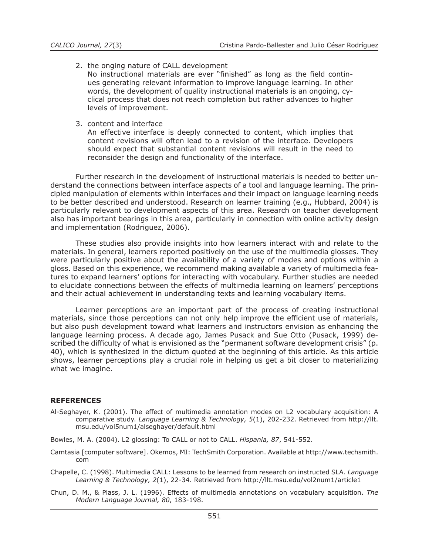2. the onging nature of CALL development

No instructional materials are ever "finished" as long as the field continues generating relevant information to improve language learning. In other words, the development of quality instructional materials is an ongoing, cyclical process that does not reach completion but rather advances to higher levels of improvement.

3. content and interface

An effective interface is deeply connected to content, which implies that content revisions will often lead to a revision of the interface. Developers should expect that substantial content revisions will result in the need to reconsider the design and functionality of the interface.

 Further research in the development of instructional materials is needed to better understand the connections between interface aspects of a tool and language learning. The principled manipulation of elements within interfaces and their impact on language learning needs to be better described and understood. Research on learner training (e.g., Hubbard, 2004) is particularly relevant to development aspects of this area. Research on teacher development also has important bearings in this area, particularly in connection with online activity design and implementation (Rodriguez, 2006).

 These studies also provide insights into how learners interact with and relate to the materials. In general, learners reported positively on the use of the multimedia glosses. They were particularly positive about the availability of a variety of modes and options within a gloss. Based on this experience, we recommend making available a variety of multimedia features to expand learners' options for interacting with vocabulary. Further studies are needed to elucidate connections between the effects of multimedia learning on learners' perceptions and their actual achievement in understanding texts and learning vocabulary items.

 Learner perceptions are an important part of the process of creating instructional materials, since those perceptions can not only help improve the efficient use of materials, but also push development toward what learners and instructors envision as enhancing the language learning process. A decade ago, James Pusack and Sue Otto (Pusack, 1999) described the difficulty of what is envisioned as the "permanent software development crisis" (p. 40), which is synthesized in the dictum quoted at the beginning of this article. As this article shows, learner perceptions play a crucial role in helping us get a bit closer to materializing what we imagine.

#### **REFERENCES**

- Al-Seghayer, K. (2001). The effect of multimedia annotation modes on L2 vocabulary acquisition: A comparative study. *Language Learning & Technology, 5*(1), 202-232. Retrieved from http://llt. msu.edu/vol5num1/alseghayer/default.html
- Bowles, M. A. (2004). L2 glossing: To CALL or not to CALL. *Hispania, 87*, 541-552.
- Camtasia [computer software]. Okemos, MI: TechSmith Corporation. Available at http://www.techsmith. com
- Chapelle, C. (1998). Multimedia CALL: Lessons to be learned from research on instructed SLA. *Language Learning & Technology, 2*(1), 22-34. Retrieved from http://llt.msu.edu/vol2num1/article1
- Chun, D. M., & Plass, J. L. (1996). Effects of multimedia annotations on vocabulary acquisition. *The Modern Language Journal, 80*, 183-198.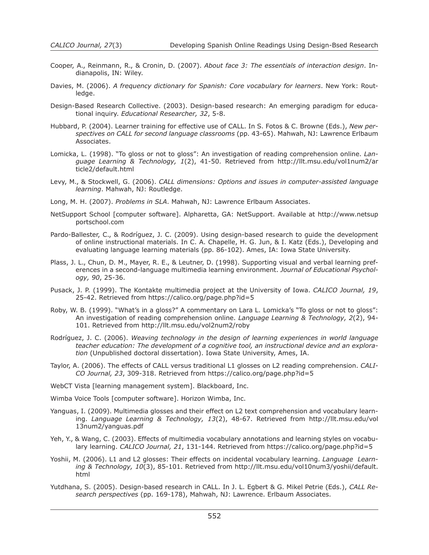- Cooper, A., Reinmann, R., & Cronin, D. (2007). *About face 3: The essentials of interaction design*. Indianapolis, IN: Wiley.
- Davies, M. (2006). *A frequency dictionary for Spanish: Core vocabulary for learners*. New York: Routledge.
- Design-Based Research Collective. (2003). Design-based research: An emerging paradigm for educational inquiry. *Educational Researcher, 32*, 5-8.
- Hubbard, P. (2004). Learner training for effective use of CALL. In S. Fotos & C. Browne (Eds.), *New perspectives on CALL for second language classrooms* (pp. 43-65). Mahwah, NJ: Lawrence Erlbaum Associates.
- Lomicka, L. (1998). "To gloss or not to gloss": An investigation of reading comprehension online. *Language Learning & Technology, 1*(2), 41-50. Retrieved from http://llt.msu.edu/vol1num2/ar ticle2/default.html
- Levy, M., & Stockwell, G. (2006). *CALL dimensions: Options and issues in computer-assisted language learning*. Mahwah, NJ: Routledge.
- Long, M. H. (2007). *Problems in SLA*. Mahwah, NJ: Lawrence Erlbaum Associates.
- NetSupport School [computer software]. Alpharetta, GA: NetSupport. Available at http://www.netsup portschool.com
- Pardo-Ballester, C., & Rodríguez, J. C. (2009). Using design-based research to guide the development of online instructional materials. In C. A. Chapelle, H. G. Jun, & I. Katz (Eds.), Developing and evaluating language learning materials (pp. 86-102). Ames, IA: Iowa State University.
- Plass, J. L., Chun, D. M., Mayer, R. E., & Leutner, D. (1998). Supporting visual and verbal learning preferences in a second-language multimedia learning environment. *Journal of Educational Psychology, 90*, 25-36.
- Pusack, J. P. (1999). The Kontakte multimedia project at the University of Iowa. *CALICO Journal, 19*, 25-42. Retrieved from https://calico.org/page.php?id=5
- Roby, W. B. (1999). "What's in a gloss?" A commentary on Lara L. Lomicka's "To gloss or not to gloss": An investigation of reading comprehension online. *Language Learning & Technology, 2*(2), 94- 101. Retrieved from http://llt.msu.edu/vol2num2/roby
- Rodríguez, J. C. (2006). *Weaving technology in the design of learning experiences in world language teacher education: The development of a cognitive tool, an instructional device and an exploration* (Unpublished doctoral dissertation). Iowa State University, Ames, IA.
- Taylor, A. (2006). The effects of CALL versus traditional L1 glosses on L2 reading comprehension. *CALI-CO Journal, 23*, 309-318. Retrieved from https://calico.org/page.php?id=5
- WebCT Vista [learning management system]. Blackboard, Inc.
- Wimba Voice Tools [computer software]. Horizon Wimba, Inc.
- Yanguas, I. (2009). Multimedia glosses and their effect on L2 text comprehension and vocabulary learning. *Language Learning & Technology, 13*(2), 48-67. Retrieved from http://llt.msu.edu/vol 13num2/yanguas.pdf
- Yeh, Y., & Wang, C. (2003). Effects of multimedia vocabulary annotations and learning styles on vocabulary learning. *CALICO Journal, 21*, 131-144. Retrieved from https://calico.org/page.php?id=5
- Yoshii, M. (2006). L1 and L2 glosses: Their effects on incidental vocabulary learning. *Language Learning & Technology, 10*(3), 85-101. Retrieved from http://llt.msu.edu/vol10num3/yoshii/default. html
- Yutdhana, S. (2005). Design-based research in CALL. In J. L. Egbert & G. Mikel Petrie (Eds.), *CALL Research perspectives* (pp. 169-178), Mahwah, NJ: Lawrence. Erlbaum Associates.